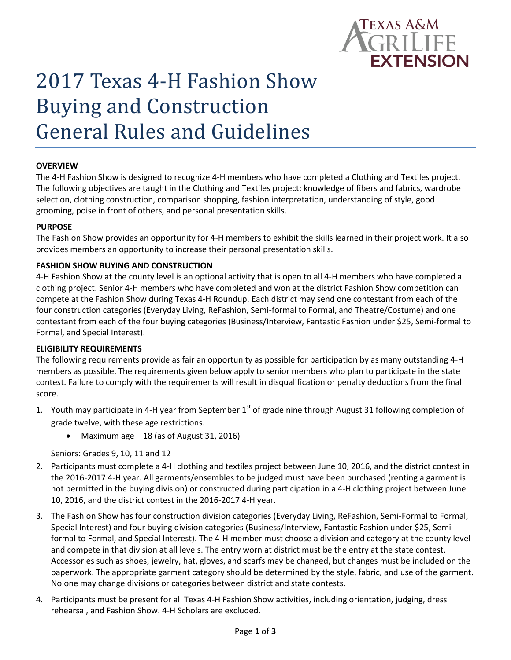

# 2017 Texas 4-H Fashion Show Buying and Construction General Rules and Guidelines

#### **OVERVIEW**

The 4-H Fashion Show is designed to recognize 4-H members who have completed a Clothing and Textiles project. The following objectives are taught in the Clothing and Textiles project: knowledge of fibers and fabrics, wardrobe selection, clothing construction, comparison shopping, fashion interpretation, understanding of style, good grooming, poise in front of others, and personal presentation skills.

#### **PURPOSE**

The Fashion Show provides an opportunity for 4-H members to exhibit the skills learned in their project work. It also provides members an opportunity to increase their personal presentation skills.

#### **FASHION SHOW BUYING AND CONSTRUCTION**

4-H Fashion Show at the county level is an optional activity that is open to all 4-H members who have completed a clothing project. Senior 4-H members who have completed and won at the district Fashion Show competition can compete at the Fashion Show during Texas 4-H Roundup. Each district may send one contestant from each of the four construction categories (Everyday Living, ReFashion, Semi-formal to Formal, and Theatre/Costume) and one contestant from each of the four buying categories (Business/Interview, Fantastic Fashion under \$25, Semi-formal to Formal, and Special Interest).

#### **ELIGIBILITY REQUIREMENTS**

The following requirements provide as fair an opportunity as possible for participation by as many outstanding 4-H members as possible. The requirements given below apply to senior members who plan to participate in the state contest. Failure to comply with the requirements will result in disqualification or penalty deductions from the final score.

- 1. Youth may participate in 4-H year from September  $1<sup>st</sup>$  of grade nine through August 31 following completion of grade twelve, with these age restrictions.
	- Maximum age  $-18$  (as of August 31, 2016)

Seniors: Grades 9, 10, 11 and 12

- 2. Participants must complete a 4-H clothing and textiles project between June 10, 2016, and the district contest in the 2016-2017 4-H year. All garments/ensembles to be judged must have been purchased (renting a garment is not permitted in the buying division) or constructed during participation in a 4-H clothing project between June 10, 2016, and the district contest in the 2016-2017 4-H year.
- 3. The Fashion Show has four construction division categories (Everyday Living, ReFashion, Semi-Formal to Formal, Special Interest) and four buying division categories (Business/Interview, Fantastic Fashion under \$25, Semiformal to Formal, and Special Interest). The 4-H member must choose a division and category at the county level and compete in that division at all levels. The entry worn at district must be the entry at the state contest. Accessories such as shoes, jewelry, hat, gloves, and scarfs may be changed, but changes must be included on the paperwork. The appropriate garment category should be determined by the style, fabric, and use of the garment. No one may change divisions or categories between district and state contests.
- 4. Participants must be present for all Texas 4-H Fashion Show activities, including orientation, judging, dress rehearsal, and Fashion Show. 4-H Scholars are excluded.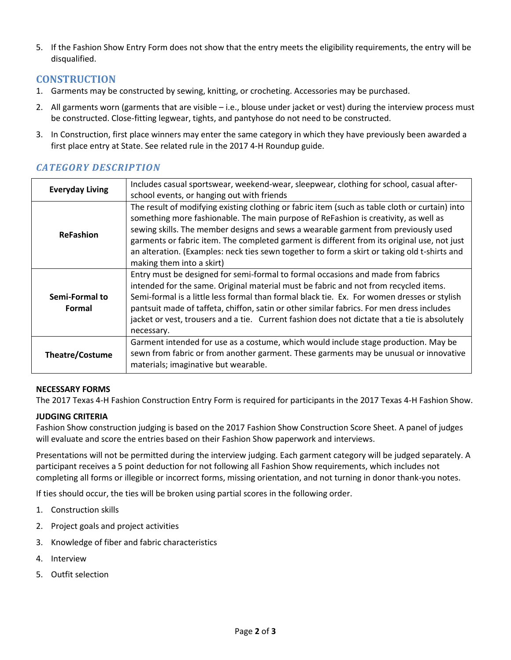5. If the Fashion Show Entry Form does not show that the entry meets the eligibility requirements, the entry will be disqualified.

## **CONSTRUCTION**

- 1. Garments may be constructed by sewing, knitting, or crocheting. Accessories may be purchased.
- 2. All garments worn (garments that are visible i.e., blouse under jacket or vest) during the interview process must be constructed. Close-fitting legwear, tights, and pantyhose do not need to be constructed.
- 3. In Construction, first place winners may enter the same category in which they have previously been awarded a first place entry at State. See related rule in the 2017 4-H Roundup guide.

| <b>Everyday Living</b>   | Includes casual sportswear, weekend-wear, sleepwear, clothing for school, casual after-                                                                                                                                                                                                                                                                                                                                                                                                                 |
|--------------------------|---------------------------------------------------------------------------------------------------------------------------------------------------------------------------------------------------------------------------------------------------------------------------------------------------------------------------------------------------------------------------------------------------------------------------------------------------------------------------------------------------------|
|                          | school events, or hanging out with friends                                                                                                                                                                                                                                                                                                                                                                                                                                                              |
| <b>ReFashion</b>         | The result of modifying existing clothing or fabric item (such as table cloth or curtain) into<br>something more fashionable. The main purpose of ReFashion is creativity, as well as<br>sewing skills. The member designs and sews a wearable garment from previously used<br>garments or fabric item. The completed garment is different from its original use, not just<br>an alteration. (Examples: neck ties sewn together to form a skirt or taking old t-shirts and<br>making them into a skirt) |
| Semi-Formal to<br>Formal | Entry must be designed for semi-formal to formal occasions and made from fabrics<br>intended for the same. Original material must be fabric and not from recycled items.<br>Semi-formal is a little less formal than formal black tie. Ex. For women dresses or stylish<br>pantsuit made of taffeta, chiffon, satin or other similar fabrics. For men dress includes<br>jacket or vest, trousers and a tie. Current fashion does not dictate that a tie is absolutely<br>necessary.                     |
| <b>Theatre/Costume</b>   | Garment intended for use as a costume, which would include stage production. May be<br>sewn from fabric or from another garment. These garments may be unusual or innovative<br>materials; imaginative but wearable.                                                                                                                                                                                                                                                                                    |

## *CATEGORY DESCRIPTION*

#### **NECESSARY FORMS**

The 2017 Texas 4-H Fashion Construction Entry Form is required for participants in the 2017 Texas 4-H Fashion Show.

### **JUDGING CRITERIA**

Fashion Show construction judging is based on the 2017 Fashion Show Construction Score Sheet. A panel of judges will evaluate and score the entries based on their Fashion Show paperwork and interviews.

Presentations will not be permitted during the interview judging. Each garment category will be judged separately. A participant receives a 5 point deduction for not following all Fashion Show requirements, which includes not completing all forms or illegible or incorrect forms, missing orientation, and not turning in donor thank-you notes.

If ties should occur, the ties will be broken using partial scores in the following order.

- 1. Construction skills
- 2. Project goals and project activities
- 3. Knowledge of fiber and fabric characteristics
- 4. Interview
- 5. Outfit selection